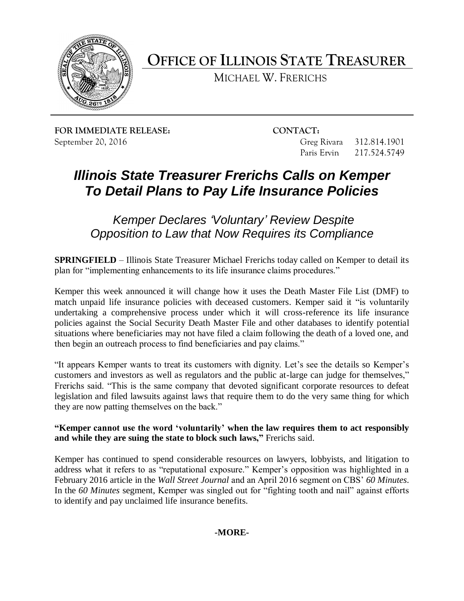

**OFFICE OF ILLINOIS STATE TREASURER**

MICHAEL W. FRERICHS

**FOR IMMEDIATE RELEASE: CONTACT:**

September 20, 2016 Greg Rivara 312.814.1901 Paris Ervin 217.524.5749

# *Illinois State Treasurer Frerichs Calls on Kemper To Detail Plans to Pay Life Insurance Policies*

*Kemper Declares 'Voluntary' Review Despite Opposition to Law that Now Requires its Compliance*

**SPRINGFIELD** – Illinois State Treasurer Michael Frerichs today called on Kemper to detail its plan for "implementing enhancements to its life insurance claims procedures."

Kemper this week announced it will change how it uses the Death Master File List (DMF) to match unpaid life insurance policies with deceased customers. Kemper said it "is voluntarily undertaking a comprehensive process under which it will cross-reference its life insurance policies against the Social Security Death Master File and other databases to identify potential situations where beneficiaries may not have filed a claim following the death of a loved one, and then begin an outreach process to find beneficiaries and pay claims."

"It appears Kemper wants to treat its customers with dignity. Let's see the details so Kemper's customers and investors as well as regulators and the public at-large can judge for themselves," Frerichs said. "This is the same company that devoted significant corporate resources to defeat legislation and filed lawsuits against laws that require them to do the very same thing for which they are now patting themselves on the back."

**"Kemper cannot use the word 'voluntarily' when the law requires them to act responsibly and while they are suing the state to block such laws,"** Frerichs said.

Kemper has continued to spend considerable resources on lawyers, lobbyists, and litigation to address what it refers to as "reputational exposure." Kemper's opposition was highlighted in a February 2016 article in the *Wall Street Journal* and an April 2016 segment on CBS' *60 Minutes*. In the *60 Minutes* segment, Kemper was singled out for "fighting tooth and nail" against efforts to identify and pay unclaimed life insurance benefits.

## **-MORE-**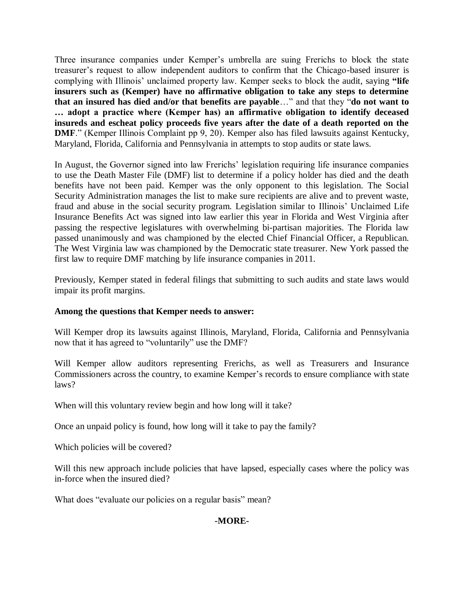Three insurance companies under Kemper's umbrella are suing Frerichs to block the state treasurer's request to allow independent auditors to confirm that the Chicago-based insurer is complying with Illinois' unclaimed property law. Kemper seeks to block the audit, saying **"life insurers such as (Kemper) have no affirmative obligation to take any steps to determine that an insured has died and/or that benefits are payable**…" and that they "**do not want to … adopt a practice where (Kemper has) an affirmative obligation to identify deceased insureds and escheat policy proceeds five years after the date of a death reported on the DMF.**" (Kemper Illinois Complaint pp 9, 20). Kemper also has filed lawsuits against Kentucky, Maryland, Florida, California and Pennsylvania in attempts to stop audits or state laws.

In August, the Governor signed into law Frerichs' legislation requiring life insurance companies to use the Death Master File (DMF) list to determine if a policy holder has died and the death benefits have not been paid. Kemper was the only opponent to this legislation. The Social Security Administration manages the list to make sure recipients are alive and to prevent waste, fraud and abuse in the social security program. Legislation similar to Illinois' Unclaimed Life Insurance Benefits Act was signed into law earlier this year in Florida and West Virginia after passing the respective legislatures with overwhelming bi-partisan majorities. The Florida law passed unanimously and was championed by the elected Chief Financial Officer, a Republican. The West Virginia law was championed by the Democratic state treasurer. New York passed the first law to require DMF matching by life insurance companies in 2011.

Previously, Kemper stated in federal filings that submitting to such audits and state laws would impair its profit margins.

#### **Among the questions that Kemper needs to answer:**

Will Kemper drop its lawsuits against Illinois, Maryland, Florida, California and Pennsylvania now that it has agreed to "voluntarily" use the DMF?

Will Kemper allow auditors representing Frerichs, as well as Treasurers and Insurance Commissioners across the country, to examine Kemper's records to ensure compliance with state laws?

When will this voluntary review begin and how long will it take?

Once an unpaid policy is found, how long will it take to pay the family?

Which policies will be covered?

Will this new approach include policies that have lapsed, especially cases where the policy was in-force when the insured died?

What does "evaluate our policies on a regular basis" mean?

### **-MORE-**